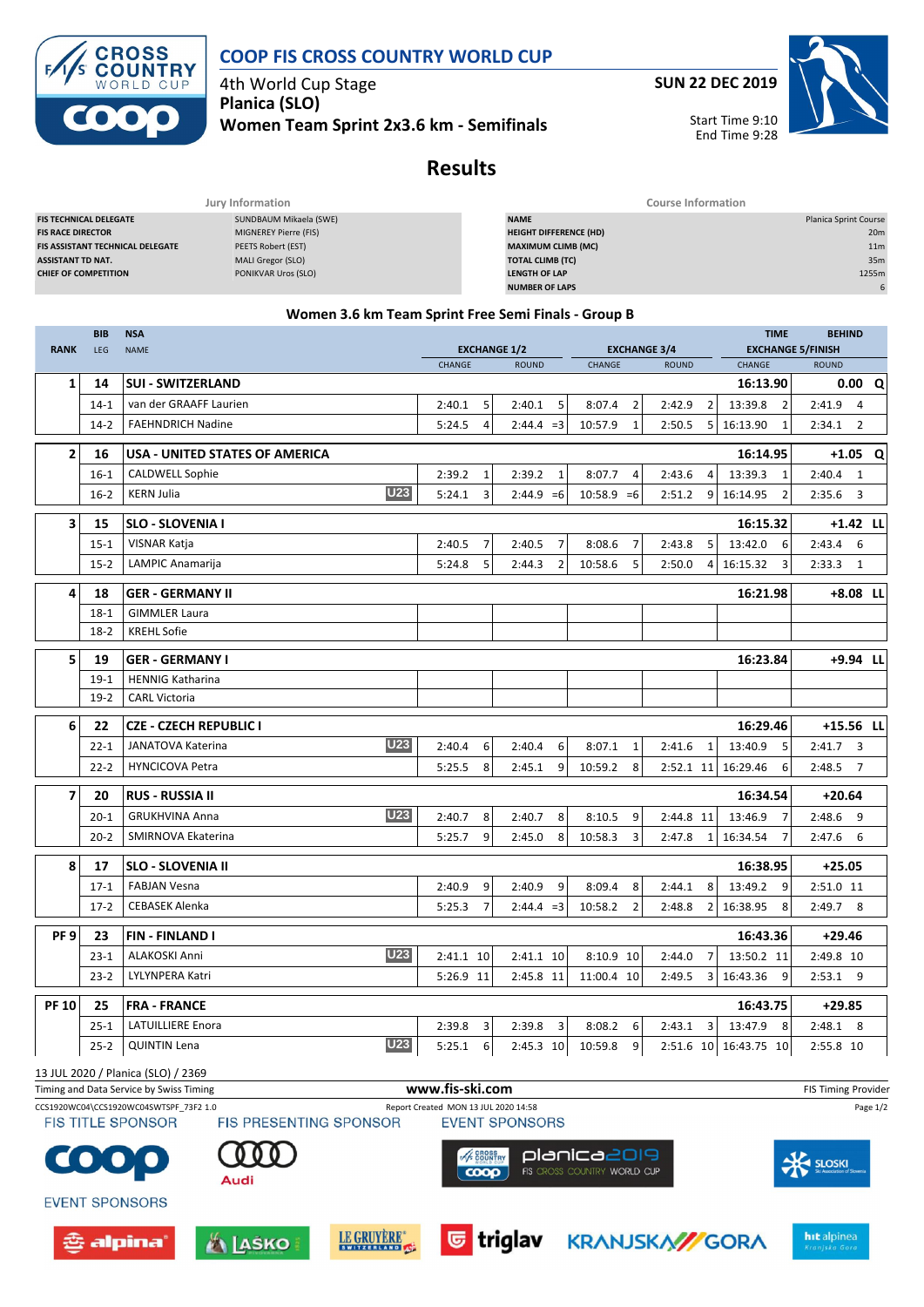

## **COOP FIS CROSS COUNTRY WORLD CUP**

4th World Cup Stage **Planica (SLO)**

**Women Team Sprint 2x3.6 km - Semifinals**

**SUN 22 DEC 2019**

Start Time 9:10 End Time 9:28

# **Results**

|                                         | Jury Information       | Course Information            |                              |
|-----------------------------------------|------------------------|-------------------------------|------------------------------|
| <b>FIS TECHNICAL DELEGATE</b>           | SUNDBAUM Mikaela (SWE) | <b>NAME</b>                   | <b>Planica Sprint Course</b> |
| <b>FIS RACE DIRECTOR</b>                | MIGNEREY Pierre (FIS)  | <b>HEIGHT DIFFERENCE (HD)</b> | 20 <sub>m</sub>              |
| <b>FIS ASSISTANT TECHNICAL DELEGATE</b> | PEETS Robert (EST)     | <b>MAXIMUM CLIMB (MC)</b>     | 11 <sub>m</sub>              |
| <b>ASSISTANT TD NAT.</b>                | MALI Gregor (SLO)      | <b>TOTAL CLIMB (TC)</b>       | 35m                          |
| <b>CHIEF OF COMPETITION</b>             | PONIKVAR Uros (SLO)    | <b>LENGTH OF LAP</b>          | 1255m                        |
|                                         |                        | <b>NUMBER OF LAPS</b>         |                              |

### **Women 3.6 km Team Sprint Free Semi Finals - Group B**

| <b>RANK</b>                                                                              | <b>BIB</b><br>LEG | <b>NSA</b><br><b>NAME</b>                                                              | <b>TIME</b><br><b>EXCHANGE 1/2</b><br><b>EXCHANGE 3/4</b> |                                                         |                           | <b>EXCHANGE 5/FINISH</b> | <b>BEHIND</b>              |                          |          |
|------------------------------------------------------------------------------------------|-------------------|----------------------------------------------------------------------------------------|-----------------------------------------------------------|---------------------------------------------------------|---------------------------|--------------------------|----------------------------|--------------------------|----------|
|                                                                                          |                   |                                                                                        | CHANGE                                                    | <b>ROUND</b><br><b>CHANGE</b><br><b>ROUND</b><br>CHANGE |                           |                          |                            | <b>ROUND</b>             |          |
| 1                                                                                        | 14                | <b>SUI - SWITZERLAND</b>                                                               |                                                           |                                                         |                           |                          | 16:13.90                   | 0.00                     | Q        |
|                                                                                          | $14 - 1$          | van der GRAAFF Laurien                                                                 | 2:40.1<br>5                                               | 2:40.1<br>5                                             | 8:07.4<br>2               | 2:42.9<br>2              | 13:39.8<br>$\overline{2}$  | $2:41.9$ 4               |          |
|                                                                                          | $14-2$            | <b>FAEHNDRICH Nadine</b>                                                               | 5:24.5<br>4                                               | $2:44.4 = 3$                                            | 10:57.9<br>1              | 5<br>2:50.5              | 16:13.90<br>1              | $\overline{2}$<br>2:34.1 |          |
| $\mathbf{2}$                                                                             | 16                | USA - UNITED STATES OF AMERICA                                                         |                                                           |                                                         |                           |                          | 16:14.95                   | +1.05                    | Q        |
|                                                                                          | 16-1              | CALDWELL Sophie                                                                        | 2:39.2<br>1                                               | 2:39.2<br>1                                             | 8:07.7<br>4               | 2:43.6<br>4              | 13:39.3<br>1               | $2:40.4$ 1               |          |
|                                                                                          | $16 - 2$          | <b>U23</b><br><b>KERN Julia</b>                                                        | 5:24.1<br>3                                               | $2:44.9 = 6$                                            | $10:58.9 = 6$             | 2:51.2<br>9              | 16:14.95<br>$\overline{2}$ | 2:35.6<br>3              |          |
| 3                                                                                        | 15                | <b>SLO - SLOVENIA I</b>                                                                |                                                           |                                                         |                           |                          | 16:15.32                   | $+1.42$ LL               |          |
|                                                                                          | $15 - 1$          | VISNAR Katja                                                                           | 2:40.5<br>$\overline{7}$                                  | $\overline{7}$<br>2:40.5                                | $\overline{7}$<br>8:08.6  | 2:43.8<br>5              | 13:42.0<br>6               | 2:43.4<br>6              |          |
|                                                                                          | $15 - 2$          | LAMPIC Anamarija                                                                       | 5:24.8<br>5                                               | 2:44.3<br>$\overline{2}$                                | 5<br>10:58.6              | 2:50.0<br>4              | 16:15.32<br>3              | 2:33.3<br>1              |          |
| 4                                                                                        | 18                | <b>GER - GERMANY II</b>                                                                |                                                           |                                                         |                           |                          | 16:21.98                   | +8.08 LL                 |          |
|                                                                                          | 18-1              | <b>GIMMLER Laura</b>                                                                   |                                                           |                                                         |                           |                          |                            |                          |          |
|                                                                                          | $18-2$            | <b>KREHL Sofie</b>                                                                     |                                                           |                                                         |                           |                          |                            |                          |          |
| 5                                                                                        | 19                | <b>GER - GERMANY I</b>                                                                 |                                                           |                                                         |                           |                          | 16:23.84                   | +9.94 LL                 |          |
|                                                                                          | $19-1$            | <b>HENNIG Katharina</b>                                                                |                                                           |                                                         |                           |                          |                            |                          |          |
|                                                                                          | $19-2$            | <b>CARL Victoria</b>                                                                   |                                                           |                                                         |                           |                          |                            |                          |          |
| 6                                                                                        | 22                | CZE - CZECH REPUBLIC I                                                                 |                                                           |                                                         |                           |                          | 16:29.46                   | +15.56 LL                |          |
|                                                                                          | $22 - 1$          | <b>U23</b><br>JANATOVA Katerina                                                        | 2:40.4<br>6                                               | 2:40.4<br>6                                             | 8:07.1<br>1               | 2:41.6<br>1              | 13:40.9<br>5               | $2:41.7$ 3               |          |
|                                                                                          | $22 - 2$          | <b>HYNCICOVA Petra</b>                                                                 | 5:25.5<br>8                                               | 2:45.1<br>9                                             | 10:59.2<br>8              | 2:52.1 11                | 16:29.46<br>6              | 2:48.5<br>$\overline{7}$ |          |
| $\overline{ }$                                                                           | 20                | <b>RUS - RUSSIA II</b>                                                                 |                                                           |                                                         |                           |                          | 16:34.54                   | $+20.64$                 |          |
|                                                                                          | $20 - 1$          | U <sub>23</sub><br><b>GRUKHVINA Anna</b>                                               | 2:40.7<br>8                                               | 8<br>2:40.7                                             | 8:10.5<br>9               | 2:44.8 11                | 13:46.9<br>7               | 2:48.6<br>9              |          |
|                                                                                          | $20 - 2$          | SMIRNOVA Ekaterina                                                                     | 9<br>5:25.7                                               | 2:45.0<br>8                                             | 10:58.3<br>3              | 2:47.8<br>$\mathbf{1}$   | 16:34.54<br>7              | 2:47.6<br>6              |          |
| 8                                                                                        | 17                | <b>SLO - SLOVENIA II</b>                                                               |                                                           |                                                         |                           |                          | 16:38.95                   | $+25.05$                 |          |
|                                                                                          | $17-1$            | <b>FABJAN Vesna</b>                                                                    | 2:40.9<br>9                                               | 2:40.9<br>9                                             | 8:09.4<br>8               | 2:44.1<br>8              | 13:49.2<br>9               | 2:51.0 11                |          |
|                                                                                          | $17-2$            | <b>CEBASEK Alenka</b>                                                                  | 5:25.3<br>$\overline{7}$                                  | $2:44.4 = 3$                                            | 10:58.2<br>$\overline{2}$ | $\overline{2}$<br>2:48.8 | 16:38.95<br>8              | 2:49.7<br>8              |          |
| PF <sub>9</sub>                                                                          | 23                | FIN - FINLAND I                                                                        |                                                           |                                                         |                           |                          | 16:43.36                   | $+29.46$                 |          |
|                                                                                          | $23-1$            | U23<br>ALAKOSKI Anni                                                                   | 2:41.1 10                                                 | 2:41.1 10                                               | $8:10.9$ 10               | 2:44.0<br>7              | 13:50.2 11                 | 2:49.8 10                |          |
|                                                                                          | $23 - 2$          | LYLYNPERA Katri                                                                        | 5:26.9 11                                                 | 2:45.8 11                                               | 11:00.4 10                | 2:49.5<br>3              | 16:43.36<br>9              | $2:53.1$ 9               |          |
| <b>PF 10</b>                                                                             | 25                | <b>FRA - FRANCE</b>                                                                    |                                                           |                                                         |                           |                          | 16:43.75                   | $+29.85$                 |          |
|                                                                                          | $25 - 1$          | <b>LATUILLIERE Enora</b>                                                               | 2:39.8<br>3                                               | 2:39.8<br>3                                             | 8:08.2<br>6               | $\overline{3}$<br>2:43.1 | 13:47.9<br>8               | $2:48.1$ 8               |          |
|                                                                                          | $25 - 2$          | <b>U23</b><br><b>QUINTIN Lena</b>                                                      | 5:25.1<br>6                                               | 2:45.3 10                                               | 10:59.8<br>9              |                          | 2:51.6 10 16:43.75 10      | 2:55.8 10                |          |
|                                                                                          |                   | 13 JUL 2020 / Planica (SLO) / 2369                                                     |                                                           |                                                         |                           |                          |                            |                          |          |
| www.fis-ski.com<br>Timing and Data Service by Swiss Timing<br><b>FIS Timing Provider</b> |                   |                                                                                        |                                                           |                                                         |                           |                          |                            |                          |          |
|                                                                                          |                   | CCS1920WC04\CCS1920WC04SWTSPF 73F2 1.0<br>FIS TITI E SPONSOR<br>FIS PRESENTING SPONSOR | Report Created MON 13 JUL 2020 14:58                      | EVENT SPONSORS                                          |                           |                          |                            |                          | Page 1/2 |







Audi

COO

**EVENT SPONSORS** 

츈 alpina'